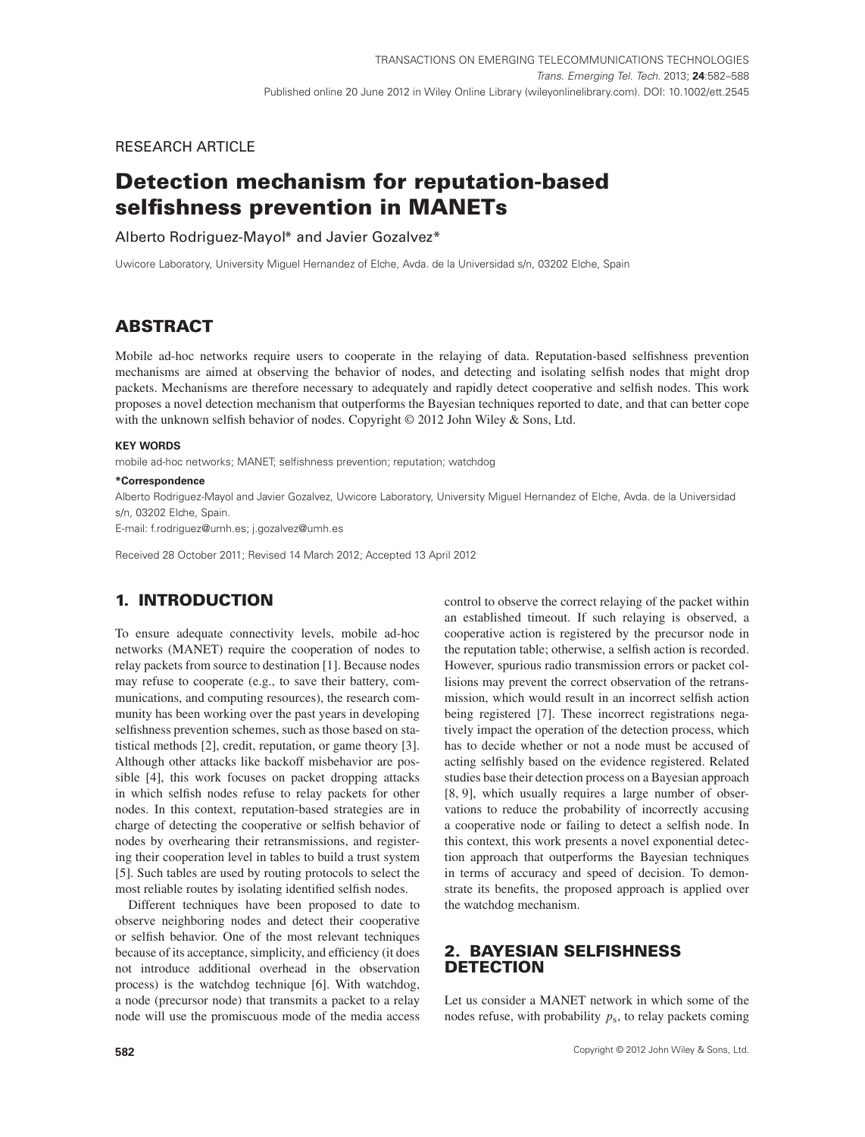## RESEARCH ARTICLE

# **Detection mechanism for reputation-based selfishness prevention in MANETs**

#### Alberto Rodriguez-Mayol\* and Javier Gozalvez\*

Uwicore Laboratory, University Miguel Hernandez of Elche, Avda. de la Universidad s/n, 03202 Elche, Spain

# **ABSTRACT**

Mobile ad-hoc networks require users to cooperate in the relaying of data. Reputation-based selfishness prevention mechanisms are aimed at observing the behavior of nodes, and detecting and isolating selfish nodes that might drop packets. Mechanisms are therefore necessary to adequately and rapidly detect cooperative and selfish nodes. This work proposes a novel detection mechanism that outperforms the Bayesian techniques reported to date, and that can better cope with the unknown selfish behavior of nodes. Copyright © 2012 John Wiley & Sons, Ltd.

#### **KEY WORDS**

mobile ad-hoc networks; MANET; selfishness prevention; reputation; watchdog

#### **\*Correspondence**

Alberto Rodriguez-Mayol and Javier Gozalvez, Uwicore Laboratory, University Miguel Hernandez of Elche, Avda. de la Universidad s/n, 03202 Elche, Spain.

E-mail: f.rodriguez@umh.es; j.gozalvez@umh.es

Received 28 October 2011; Revised 14 March 2012; Accepted 13 April 2012

# **1. INTRODUCTION**

To ensure adequate connectivity levels, mobile ad-hoc networks (MANET) require the cooperation of nodes to relay packets from source to destination [1]. Because nodes may refuse to cooperate (e.g., to save their battery, communications, and computing resources), the research community has been working over the past years in developing selfishness prevention schemes, such as those based on statistical methods [2], credit, reputation, or game theory [3]. Although other attacks like backoff misbehavior are possible [4], this work focuses on packet dropping attacks in which selfish nodes refuse to relay packets for other nodes. In this context, reputation-based strategies are in charge of detecting the cooperative or selfish behavior of nodes by overhearing their retransmissions, and registering their cooperation level in tables to build a trust system [5]. Such tables are used by routing protocols to select the most reliable routes by isolating identified selfish nodes.

Different techniques have been proposed to date to observe neighboring nodes and detect their cooperative or selfish behavior. One of the most relevant techniques because of its acceptance, simplicity, and efficiency (it does not introduce additional overhead in the observation process) is the watchdog technique [6]. With watchdog, a node (precursor node) that transmits a packet to a relay node will use the promiscuous mode of the media access control to observe the correct relaying of the packet within an established timeout. If such relaying is observed, a cooperative action is registered by the precursor node in the reputation table; otherwise, a selfish action is recorded. However, spurious radio transmission errors or packet collisions may prevent the correct observation of the retransmission, which would result in an incorrect selfish action being registered [7]. These incorrect registrations negatively impact the operation of the detection process, which has to decide whether or not a node must be accused of acting selfishly based on the evidence registered. Related studies base their detection process on a Bayesian approach [8, 9], which usually requires a large number of observations to reduce the probability of incorrectly accusing a cooperative node or failing to detect a selfish node. In this context, this work presents a novel exponential detection approach that outperforms the Bayesian techniques in terms of accuracy and speed of decision. To demonstrate its benefits, the proposed approach is applied over the watchdog mechanism.

### **2. BAYESIAN SELFISHNESS DETECTION**

Let us consider a MANET network in which some of the nodes refuse, with probability  $p_s$ , to relay packets coming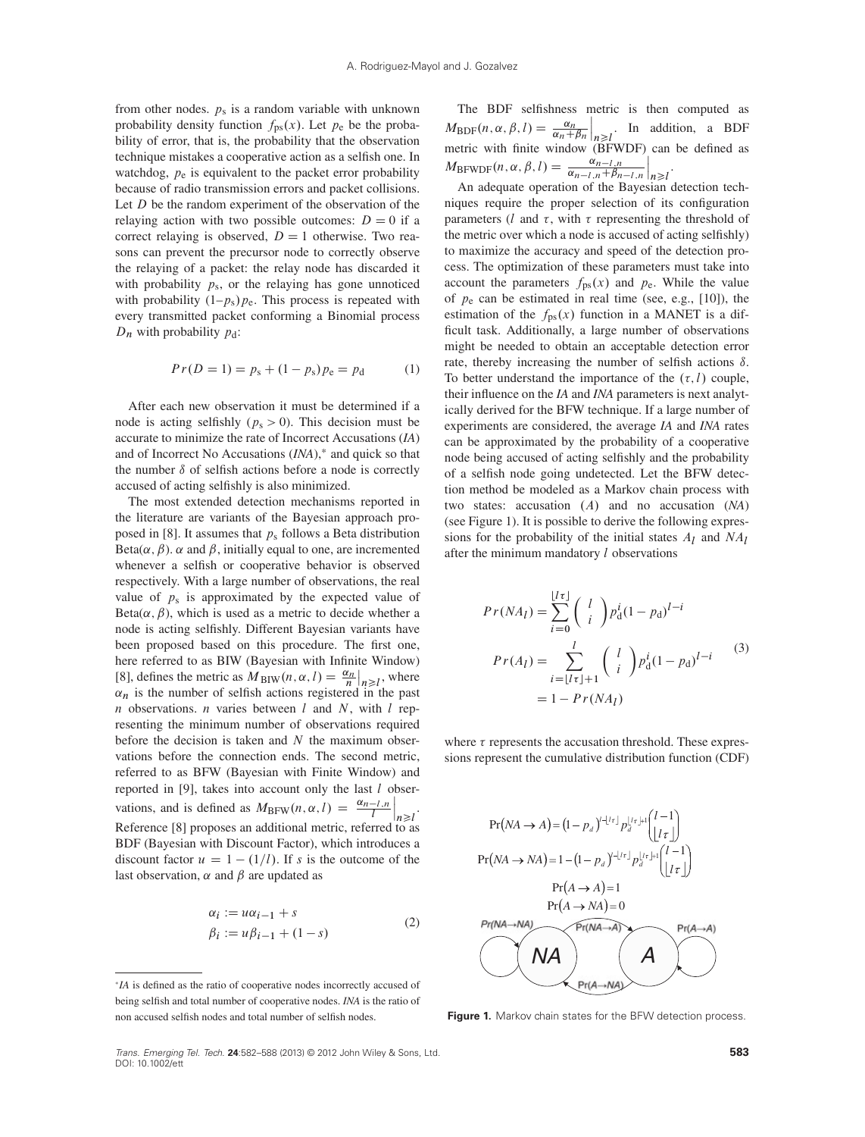from other nodes.  $p_s$  is a random variable with unknown probability density function  $f_{\text{ps}}(x)$ . Let  $p_e$  be the probability of error, that is, the probability that the observation technique mistakes a cooperative action as a selfish one. In watchdog,  $p_e$  is equivalent to the packet error probability because of radio transmission errors and packet collisions. Let  $D$  be the random experiment of the observation of the relaying action with two possible outcomes:  $D = 0$  if a correct relaying is observed,  $D = 1$  otherwise. Two reasons can prevent the precursor node to correctly observe the relaying of a packet: the relay node has discarded it with probability  $p_s$ , or the relaying has gone unnoticed with probability  $(1-p_s)p_e$ . This process is repeated with every transmitted packet conforming a Binomial process  $D_n$  with probability  $p_d$ :

$$
Pr(D = 1) = p_s + (1 - p_s)p_e = p_d \tag{1}
$$

After each new observation it must be determined if a node is acting selfishly ( $p_s > 0$ ). This decision must be accurate to minimize the rate of Incorrect Accusations (*IA*) and of Incorrect No Accusations (*INA*),\* and quick so that the number  $\delta$  of selfish actions before a node is correctly accused of acting selfishly is also minimized.

The most extended detection mechanisms reported in the literature are variants of the Bayesian approach proposed in [8]. It assumes that  $p_s$  follows a Beta distribution Beta $(\alpha, \beta)$ .  $\alpha$  and  $\beta$ , initially equal to one, are incremented whenever a selfish or cooperative behavior is observed respectively. With a large number of observations, the real value of  $p_s$  is approximated by the expected value of  $Beta(\alpha, \beta)$ , which is used as a metric to decide whether a node is acting selfishly. Different Bayesian variants have been proposed based on this procedure. The first one, here referred to as BIW (Bayesian with Infinite Window) [8], defines the metric as  $M_{\text{BIW}}(n, \alpha, l) = \frac{\alpha_n}{n}$  $\begin{bmatrix} n \ge l \end{bmatrix}$ , where  $\alpha_n$  is the number of selfish actions registered in the past  $n$  observations.  $n$  varies between  $l$  and  $N$ , with  $l$  representing the minimum number of observations required before the decision is taken and  $N$  the maximum observations before the connection ends. The second metric, referred to as BFW (Bayesian with Finite Window) and reported in  $[9]$ , takes into account only the last  $l$  observations, and is defined as  $M_{\text{BFW}}(n, \alpha, l) = \frac{\alpha_{n-l,n}}{l}$  $\hat{\mathcal{C}}$  $n \ge l$ . Reference [8] proposes an additional metric, referred to as BDF (Bayesian with Discount Factor), which introduces a discount factor  $u = 1 - (1/l)$ . If s is the outcome of the last observation,  $\alpha$  and  $\beta$  are updated as

$$
\alpha_i := u\alpha_{i-1} + s
$$
  
\n
$$
\beta_i := u\beta_{i-1} + (1-s)
$$
\n(2)

The BDF selfishness metric is then computed as  $M_{\text{BDF}}(n, \alpha, \beta, l) = \frac{\alpha_n}{\alpha_n + \beta_n}$  $\bigg|_{n \geq l}$ . In addition, a BDF metric with finite window (BFWDF) can be defined as  $M_{\text{BFWDF}}(n, \alpha, \beta, l) = \frac{\alpha_{n-l,n}}{\alpha_{n-l,n} + \beta_{n-l,n}}$  $\Big|_{n \geq l}$ .

An adequate operation of the Bayesian detection techniques require the proper selection of its configuration parameters (*l* and  $\tau$ , with  $\tau$  representing the threshold of the metric over which a node is accused of acting selfishly) to maximize the accuracy and speed of the detection process. The optimization of these parameters must take into account the parameters  $f_{\text{ps}}(x)$  and  $p_{\text{e}}$ . While the value of  $p_e$  can be estimated in real time (see, e.g., [10]), the estimation of the  $f_{ps}(x)$  function in a MANET is a difficult task. Additionally, a large number of observations might be needed to obtain an acceptable detection error rate, thereby increasing the number of selfish actions  $\delta$ . To better understand the importance of the  $(\tau, l)$  couple, their influence on the *IA* and *INA* parameters is next analytically derived for the BFW technique. If a large number of experiments are considered, the average *IA* and *INA* rates can be approximated by the probability of a cooperative node being accused of acting selfishly and the probability of a selfish node going undetected. Let the BFW detection method be modeled as a Markov chain process with two states: accusation  $(A)$  and no accusation  $(NA)$ (see Figure 1). It is possible to derive the following expressions for the probability of the initial states  $A_I$  and  $NA_I$ after the minimum mandatory l observations

$$
Pr(NA_l) = \sum_{i=0}^{\lfloor l\tau \rfloor} {l \choose i} p_d^i (1 - p_d)^{l-i}
$$
  
\n
$$
Pr(A_l) = \sum_{i=\lfloor l\tau \rfloor+1}^{l} {l \choose i} p_d^i (1 - p_d)^{l-i}
$$
  
\n
$$
= 1 - Pr(NA_l)
$$
 (3)

where  $\tau$  represents the accusation threshold. These expressions represent the cumulative distribution function (CDF)



**Figure 1.** Markov chain states for the BFW detection process.

<sup>\*</sup>*IA* is defined as the ratio of cooperative nodes incorrectly accused of being selfish and total number of cooperative nodes. *INA* is the ratio of non accused selfish nodes and total number of selfish nodes.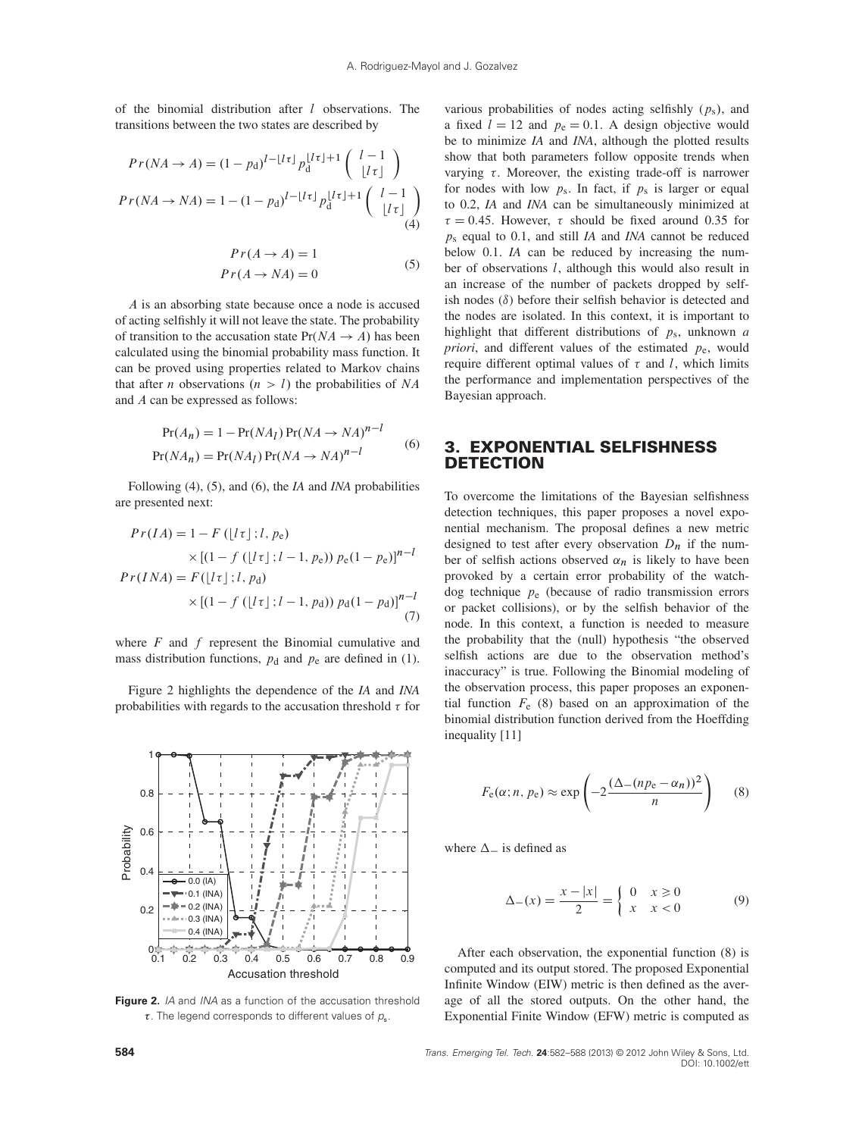of the binomial distribution after  $l$  observations. The transitions between the two states are described by

$$
Pr(NA \rightarrow A) = (1 - p_d)^{l - \lfloor l\tau \rfloor} p_d^{\lfloor l\tau \rfloor + 1} \left( \begin{array}{c} l - 1 \\ \lfloor l\tau \rfloor \end{array} \right)
$$

$$
Pr(NA \rightarrow NA) = 1 - (1 - p_d)^{l - \lfloor l\tau \rfloor} p_d^{\lfloor l\tau \rfloor + 1} \left( \begin{array}{c} l - 1 \\ \lfloor l\tau \rfloor \end{array} \right)
$$

$$
Pr(A \rightarrow A) = 1
$$

$$
Pr(A \rightarrow NA) = 0
$$
(5)

A is an absorbing state because once a node is accused of acting selfishly it will not leave the state. The probability of transition to the accusation state  $Pr(NA \rightarrow A)$  has been calculated using the binomial probability mass function. It can be proved using properties related to Markov chains that after *n* observations  $(n > l)$  the probabilities of NA and A can be expressed as follows:

$$
Pr(A_n) = 1 - Pr(NA_l) Pr(NA \rightarrow NA)^{n-l}
$$
  
Pr(NA\_n) = Pr(NA\_l) Pr(NA \rightarrow NA)^{n-l} (6)

Following (4), (5), and (6), the *IA* and *INA* probabilities are presented next:

$$
Pr(IA) = 1 - F (|I\tau|; l, p_e)
$$
  
 
$$
\times [(1 - f (|I\tau|; l - 1, p_e)) p_e (1 - p_e)]^{n-l}
$$
  

$$
Pr(INA) = F (|I\tau|; l, p_d)
$$
  

$$
\times [(1 - f (|I\tau|; l - 1, p_d)) p_d (1 - p_d)]^{n-l}
$$
  
(7)

where  $F$  and  $f$  represent the Binomial cumulative and mass distribution functions,  $p_d$  and  $p_e$  are defined in (1).

Figure 2 highlights the dependence of the *IA* and *INA* probabilities with regards to the accusation threshold  $\tau$  for



**Figure 2.** *IA* and *INA* as a function of the accusation threshold  $\tau$ . The legend corresponds to different values of  $p_{s}$ .

various probabilities of nodes acting selfishly  $(p_s)$ , and a fixed  $l = 12$  and  $p_e = 0.1$ . A design objective would be to minimize *IA* and *INA*, although the plotted results show that both parameters follow opposite trends when varying  $\tau$ . Moreover, the existing trade-off is narrower for nodes with low  $p_s$ . In fact, if  $p_s$  is larger or equal to 0.2, *IA* and *INA* can be simultaneously minimized at  $\tau = 0.45$ . However,  $\tau$  should be fixed around 0.35 for ps equal to 0.1, and still *IA* and *INA* cannot be reduced below 0.1. *IA* can be reduced by increasing the number of observations  $l$ , although this would also result in an increase of the number of packets dropped by selfish nodes  $(\delta)$  before their selfish behavior is detected and the nodes are isolated. In this context, it is important to highlight that different distributions of ps, unknown *a priori*, and different values of the estimated  $p_e$ , would require different optimal values of  $\tau$  and l, which limits the performance and implementation perspectives of the Bayesian approach.

#### **3. EXPONENTIAL SELFISHNESS DETECTION**

To overcome the limitations of the Bayesian selfishness detection techniques, this paper proposes a novel exponential mechanism. The proposal defines a new metric designed to test after every observation  $D_n$  if the number of selfish actions observed  $\alpha_n$  is likely to have been provoked by a certain error probability of the watchdog technique  $p_e$  (because of radio transmission errors or packet collisions), or by the selfish behavior of the node. In this context, a function is needed to measure the probability that the (null) hypothesis "the observed selfish actions are due to the observation method's inaccuracy" is true. Following the Binomial modeling of the observation process, this paper proposes an exponential function  $F_e$  (8) based on an approximation of the binomial distribution function derived from the Hoeffding inequality [11]

$$
F_e(\alpha; n, p_e) \approx \exp\left(-2\frac{(\Delta - (np_e - \alpha_n))^2}{n}\right)
$$
 (8)

where  $\Delta$  – is defined as

$$
\Delta_{-}(x) = \frac{x - |x|}{2} = \begin{cases} 0 & x \ge 0 \\ x & x < 0 \end{cases}
$$
 (9)

After each observation, the exponential function (8) is computed and its output stored. The proposed Exponential Infinite Window (EIW) metric is then defined as the average of all the stored outputs. On the other hand, the Exponential Finite Window (EFW) metric is computed as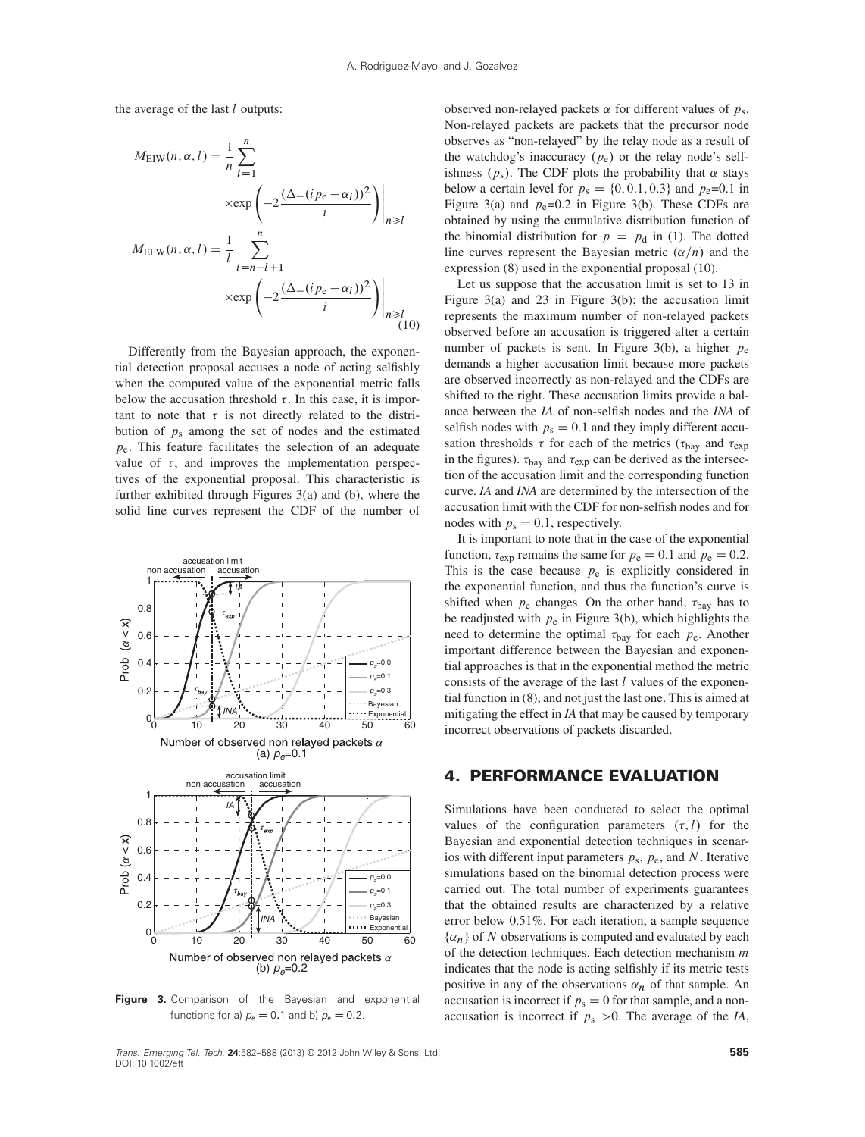the average of the last  $l$  outputs:

$$
M_{\text{EIW}}(n, \alpha, l) = \frac{1}{n} \sum_{i=1}^{n} \exp\left(-2\frac{(\Delta - (i p_{\text{e}} - \alpha_{i}))^{2}}{i}\right)\Big|_{n \ge l}
$$

$$
M_{\text{EFW}}(n, \alpha, l) = \frac{1}{l} \sum_{i=n-l+1}^{n} \exp\left(-2\frac{(\Delta - (i p_{\text{e}} - \alpha_{i}))^{2}}{i}\right)\Big|_{n \ge l}
$$

$$
\times \exp\left(-2\frac{(\Delta - (i p_{\text{e}} - \alpha_{i}))^{2}}{i}\right)\Big|_{n \ge l}
$$
(10)

Differently from the Bayesian approach, the exponential detection proposal accuses a node of acting selfishly when the computed value of the exponential metric falls below the accusation threshold  $\tau$ . In this case, it is important to note that  $\tau$  is not directly related to the distribution of  $p_s$  among the set of nodes and the estimated  $p_e$ . This feature facilitates the selection of an adequate value of  $\tau$ , and improves the implementation perspectives of the exponential proposal. This characteristic is further exhibited through Figures 3(a) and (b), where the solid line curves represent the CDF of the number of



Figure 3. Comparison of the Bayesian and exponential functions for a)  $p_e = 0.1$  and b)  $p_e = 0.2$ .

observed non-relayed packets  $\alpha$  for different values of  $p_s$ . Non-relayed packets are packets that the precursor node observes as "non-relayed" by the relay node as a result of the watchdog's inaccuracy  $(p_e)$  or the relay node's selfishness  $(p_s)$ . The CDF plots the probability that  $\alpha$  stays below a certain level for  $p_s = \{0, 0.1, 0.3\}$  and  $p_e=0.1$  in Figure 3(a) and  $p_e$ =0.2 in Figure 3(b). These CDFs are obtained by using the cumulative distribution function of the binomial distribution for  $p = p_d$  in (1). The dotted line curves represent the Bayesian metric  $(\alpha/n)$  and the expression (8) used in the exponential proposal (10).

Let us suppose that the accusation limit is set to 13 in Figure 3(a) and 23 in Figure 3(b); the accusation limit represents the maximum number of non-relayed packets observed before an accusation is triggered after a certain number of packets is sent. In Figure 3(b), a higher  $p_e$ demands a higher accusation limit because more packets are observed incorrectly as non-relayed and the CDFs are shifted to the right. These accusation limits provide a balance between the *IA* of non-selfish nodes and the *INA* of selfish nodes with  $p_s = 0.1$  and they imply different accusation thresholds  $\tau$  for each of the metrics ( $\tau_{\text{bay}}$  and  $\tau_{\text{exp}}$ in the figures).  $\tau_{\text{bay}}$  and  $\tau_{\text{exp}}$  can be derived as the intersection of the accusation limit and the corresponding function curve. *IA* and *INA* are determined by the intersection of the accusation limit with the CDF for non-selfish nodes and for nodes with  $p_s = 0.1$ , respectively.

It is important to note that in the case of the exponential function,  $\tau_{\text{exp}}$  remains the same for  $p_e = 0.1$  and  $p_e = 0.2$ . This is the case because  $p_e$  is explicitly considered in the exponential function, and thus the function's curve is shifted when  $p_e$  changes. On the other hand,  $\tau_{\text{bay}}$  has to be readjusted with  $p_e$  in Figure 3(b), which highlights the need to determine the optimal  $\tau_{\text{bay}}$  for each  $p_e$ . Another important difference between the Bayesian and exponential approaches is that in the exponential method the metric consists of the average of the last l values of the exponential function in (8), and not just the last one. This is aimed at mitigating the effect in *IA* that may be caused by temporary incorrect observations of packets discarded.

#### **4. PERFORMANCE EVALUATION**

Simulations have been conducted to select the optimal values of the configuration parameters  $(\tau, l)$  for the Bayesian and exponential detection techniques in scenarios with different input parameters  $p_s$ ,  $p_e$ , and N. Iterative simulations based on the binomial detection process were carried out. The total number of experiments guarantees that the obtained results are characterized by a relative error below 0.51%. For each iteration, a sample sequence  $\{\alpha_n\}$  of N observations is computed and evaluated by each of the detection techniques. Each detection mechanism  $m$ indicates that the node is acting selfishly if its metric tests positive in any of the observations  $\alpha_n$  of that sample. An accusation is incorrect if  $p_s = 0$  for that sample, and a nonaccusation is incorrect if  $p_s > 0$ . The average of the *IA*,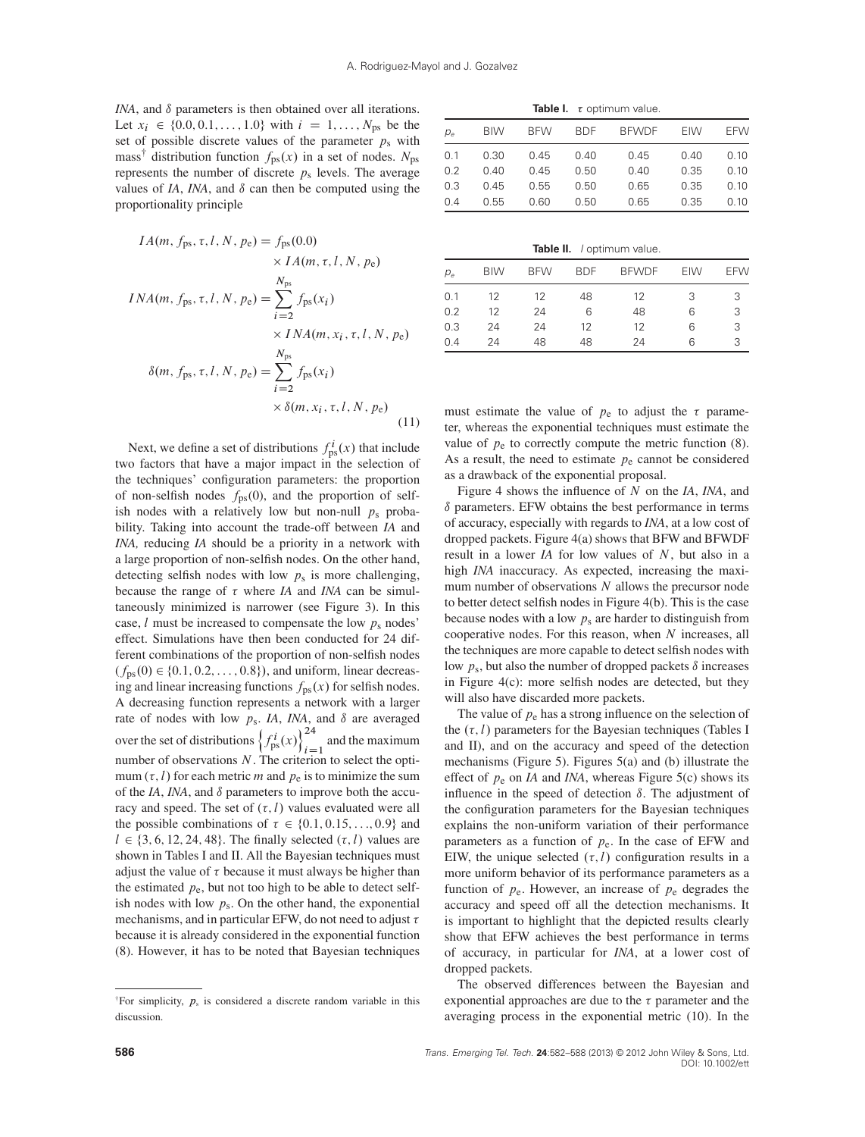*, and*  $\delta$  *parameters is then obtained over all iterations.* Let  $x_i \in \{0.0, 0.1, \ldots, 1.0\}$  with  $i = 1, \ldots, N_{ps}$  be the set of possible discrete values of the parameter  $p_s$  with mass<sup>†</sup> distribution function  $f_{\text{ps}}(x)$  in a set of nodes. N<sub>ps</sub> represents the number of discrete  $p_s$  levels. The average values of  $IA$ ,  $INA$ , and  $\delta$  can then be computed using the proportionality principle

$$
IA(m, f_{\text{ps}}, \tau, l, N, p_{\text{e}}) = f_{\text{ps}}(0.0)
$$
  
\n
$$
\times IA(m, \tau, l, N, p_{\text{e}})
$$
  
\n
$$
INA(m, f_{\text{ps}}, \tau, l, N, p_{\text{e}}) = \sum_{i=2}^{N_{\text{ps}}} f_{\text{ps}}(x_i)
$$
  
\n
$$
\times INA(m, x_i, \tau, l, N, p_{\text{e}})
$$
  
\n
$$
\delta(m, f_{\text{ps}}, \tau, l, N, p_{\text{e}}) = \sum_{i=2}^{N_{\text{ps}}} f_{\text{ps}}(x_i)
$$
  
\n
$$
\times \delta(m, x_i, \tau, l, N, p_{\text{e}})
$$
\n(11)

Next, we define a set of distributions  $f_{\rm ps}^i(x)$  that include two factors that have a major impact in the selection of the techniques' configuration parameters: the proportion of non-selfish nodes  $f_{\text{ps}}(0)$ , and the proportion of selfish nodes with a relatively low but non-null  $p_s$  probability. Taking into account the trade-off between *IA* and *INA,* reducing *IA* should be a priority in a network with a large proportion of non-selfish nodes. On the other hand, detecting selfish nodes with low  $p_s$  is more challenging, because the range of  $\tau$  where *IA* and *INA* can be simultaneously minimized is narrower (see Figure 3). In this case,  $l$  must be increased to compensate the low  $p_s$  nodes' effect. Simulations have then been conducted for 24 different combinations of the proportion of non-selfish nodes  $(f_{\text{ps}}(0) \in \{0.1, 0.2, \ldots, 0.8\})$ , and uniform, linear decreasing and linear increasing functions  $f_{\text{ps}}(x)$  for selfish nodes. A decreasing function represents a network with a larger rate of nodes with low  $p_s$ . *IA*, *INA*, and  $\delta$  are averaged<br>over the set of distributions  $\left\{ f_{ps}^i(x) \right\}_{i=1}^{24}$  and the maximum number of observations  $N$ . The criterion to select the optimum  $(\tau, l)$  for each metric m and  $p_e$  is to minimize the sum of the  $IA$ ,  $INA$ , and  $\delta$  parameters to improve both the accuracy and speed. The set of  $(\tau, l)$  values evaluated were all the possible combinations of  $\tau \in \{0.1, 0.15, \ldots, 0.9\}$  and  $l \in \{3, 6, 12, 24, 48\}$ . The finally selected  $(\tau, l)$  values are shown in Tables I and II. All the Bayesian techniques must adjust the value of  $\tau$  because it must always be higher than the estimated  $p_e$ , but not too high to be able to detect selfish nodes with low  $p_s$ . On the other hand, the exponential mechanisms, and in particular EFW, do not need to adjust  $\tau$ because it is already considered in the exponential function (8). However, it has to be noted that Bayesian techniques

**Table I.**  $\tau$  optimum value.

| $D_e$ | <b>BIW</b> | <b>BFW</b> | <b>BDF</b> | <b>BFWDF</b> | <b>EIW</b> | EFW  |
|-------|------------|------------|------------|--------------|------------|------|
| 0.1   | 0.30       | 0.45       | 0.40       | 0.45         | 0.40       | 0.10 |
| 0.2   | 0.40       | 0.45       | 0.50       | 0.40         | 0.35       | 0.10 |
| 0.3   | 0.45       | 0.55       | 0.50       | 0.65         | 0.35       | 0.10 |
| 0.4   | 0.55       | 0.60       | 0.50       | 0.65         | 0.35       | 0.10 |

Table II. / optimum value.

| $\rho_e$ | <b>BIW</b> | <b>BFW</b> | <b>BDF</b> | <b>BFWDF</b> | <b>EIW</b> | <b>EFW</b> |
|----------|------------|------------|------------|--------------|------------|------------|
| 0.1      | 12         | 12         | 48         | 12           | 3          | З          |
| 0.2      | 12         | 24         | 6          | 48           | 6          | 3          |
| 0.3      | 24         | 24         | 12         | 12           | 6          | 3          |
| 0.4      | 24         | 48         | 48         | 24           | 6          | 3          |

must estimate the value of  $p_e$  to adjust the  $\tau$  parameter, whereas the exponential techniques must estimate the value of  $p_e$  to correctly compute the metric function (8). As a result, the need to estimate  $p_e$  cannot be considered as a drawback of the exponential proposal.

Figure 4 shows the influence of N on the *IA*, *INA*, and  $\delta$  parameters. EFW obtains the best performance in terms of accuracy, especially with regards to *INA*, at a low cost of dropped packets. Figure 4(a) shows that BFW and BFWDF result in a lower *IA* for low values of N, but also in a high *INA* inaccuracy. As expected, increasing the maximum number of observations  $N$  allows the precursor node to better detect selfish nodes in Figure 4(b). This is the case because nodes with a low  $p_s$  are harder to distinguish from cooperative nodes. For this reason, when  $N$  increases, all the techniques are more capable to detect selfish nodes with low  $p_s$ , but also the number of dropped packets  $\delta$  increases in Figure 4(c): more selfish nodes are detected, but they will also have discarded more packets.

The value of  $p_e$  has a strong influence on the selection of the  $(\tau, l)$  parameters for the Bayesian techniques (Tables I and II), and on the accuracy and speed of the detection mechanisms (Figure 5). Figures 5(a) and (b) illustrate the effect of pe on *IA* and *INA*, whereas Figure 5(c) shows its influence in the speed of detection  $\delta$ . The adjustment of the configuration parameters for the Bayesian techniques explains the non-uniform variation of their performance parameters as a function of  $p_e$ . In the case of EFW and EIW, the unique selected  $(\tau, l)$  configuration results in a more uniform behavior of its performance parameters as a function of  $p_e$ . However, an increase of  $p_e$  degrades the accuracy and speed off all the detection mechanisms. It is important to highlight that the depicted results clearly show that EFW achieves the best performance in terms of accuracy, in particular for *INA*, at a lower cost of dropped packets.

The observed differences between the Bayesian and exponential approaches are due to the  $\tau$  parameter and the averaging process in the exponential metric (10). In the

<sup>&</sup>lt;sup>†</sup>For simplicity,  $p_s$  is considered a discrete random variable in this discussion.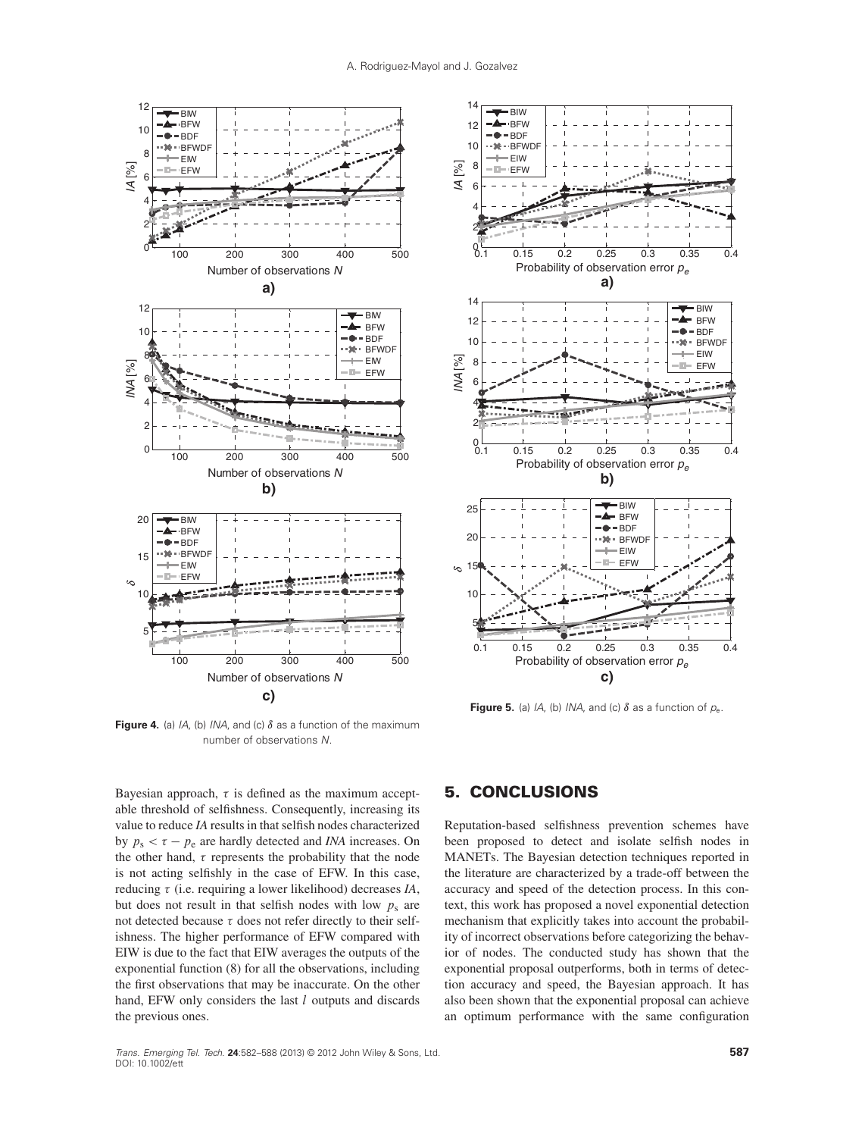



**Figure 5.** (a) IA, (b) INA, and (c)  $\delta$  as a function of  $p_e$ .

number of observations N.

Bayesian approach,  $\tau$  is defined as the maximum acceptable threshold of selfishness. Consequently, increasing its value to reduce *IA* results in that selfish nodes characterized by  $p_s < \tau - p_e$  are hardly detected and *INA* increases. On the other hand,  $\tau$  represents the probability that the node is not acting selfishly in the case of EFW. In this case, reducing  $\tau$  (i.e. requiring a lower likelihood) decreases *IA*, but does not result in that selfish nodes with low  $p_s$  are not detected because  $\tau$  does not refer directly to their selfishness. The higher performance of EFW compared with EIW is due to the fact that EIW averages the outputs of the exponential function (8) for all the observations, including the first observations that may be inaccurate. On the other hand, EFW only considers the last *l* outputs and discards the previous ones.

#### **5. CONCLUSIONS**

Reputation-based selfishness prevention schemes have been proposed to detect and isolate selfish nodes in MANETs. The Bayesian detection techniques reported in the literature are characterized by a trade-off between the accuracy and speed of the detection process. In this context, this work has proposed a novel exponential detection mechanism that explicitly takes into account the probability of incorrect observations before categorizing the behavior of nodes. The conducted study has shown that the exponential proposal outperforms, both in terms of detection accuracy and speed, the Bayesian approach. It has also been shown that the exponential proposal can achieve an optimum performance with the same configuration